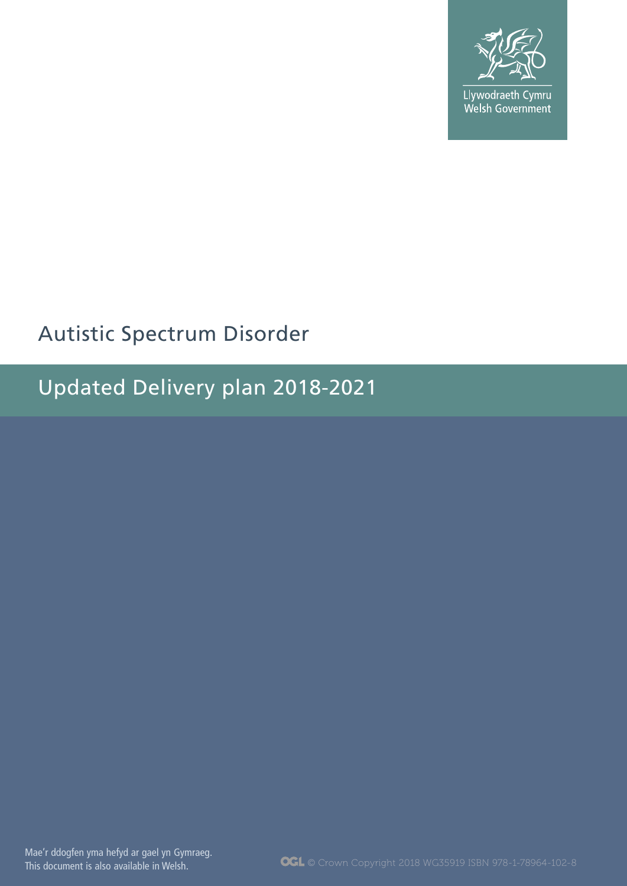

Llywodraeth Cymru<br>Welsh Government

## Autistic Spectrum Disorder

Updated Delivery plan 2018-2021

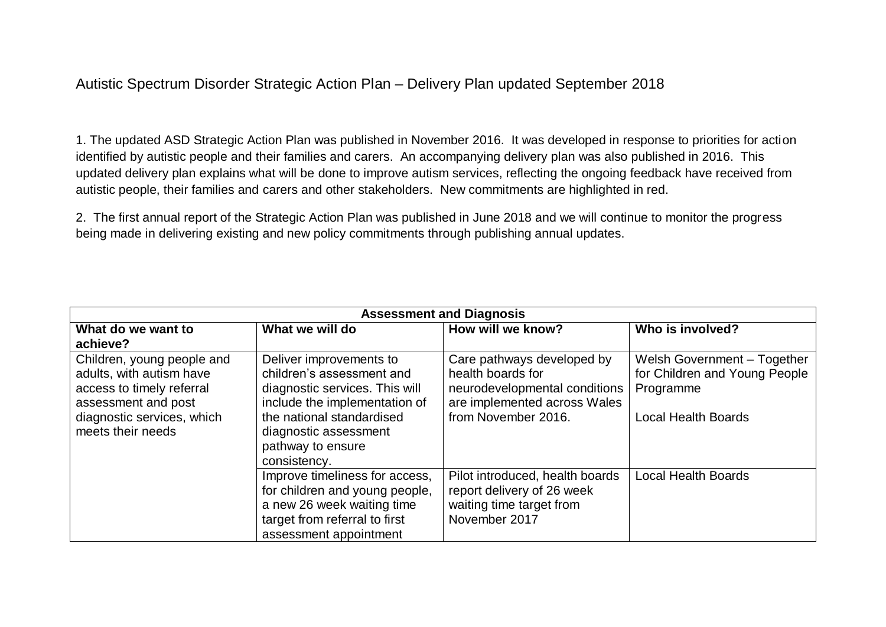## Autistic Spectrum Disorder Strategic Action Plan – Delivery Plan updated September 2018

1. The updated ASD Strategic Action Plan was published in November 2016. It was developed in response to priorities for action identified by autistic people and their families and carers. An accompanying delivery plan was also published in 2016. This updated delivery plan explains what will be done to improve autism services, reflecting the ongoing feedback have received from autistic people, their families and carers and other stakeholders. New commitments are highlighted in red.

2. The first annual report of the Strategic Action Plan was published in June 2018 and we will continue to monitor the progress being made in delivering existing and new policy commitments through publishing annual updates.

| <b>Assessment and Diagnosis</b>                                                                                                                               |                                                                                                                                                                                                                    |                                                                                                                                         |                                                                                                         |  |
|---------------------------------------------------------------------------------------------------------------------------------------------------------------|--------------------------------------------------------------------------------------------------------------------------------------------------------------------------------------------------------------------|-----------------------------------------------------------------------------------------------------------------------------------------|---------------------------------------------------------------------------------------------------------|--|
| What do we want to                                                                                                                                            | What we will do                                                                                                                                                                                                    | How will we know?                                                                                                                       | Who is involved?                                                                                        |  |
| achieve?                                                                                                                                                      |                                                                                                                                                                                                                    |                                                                                                                                         |                                                                                                         |  |
| Children, young people and<br>adults, with autism have<br>access to timely referral<br>assessment and post<br>diagnostic services, which<br>meets their needs | Deliver improvements to<br>children's assessment and<br>diagnostic services. This will<br>include the implementation of<br>the national standardised<br>diagnostic assessment<br>pathway to ensure<br>consistency. | Care pathways developed by<br>health boards for<br>neurodevelopmental conditions<br>are implemented across Wales<br>from November 2016. | Welsh Government - Together<br>for Children and Young People<br>Programme<br><b>Local Health Boards</b> |  |
|                                                                                                                                                               | Improve timeliness for access,<br>for children and young people,<br>a new 26 week waiting time<br>target from referral to first<br>assessment appointment                                                          | Pilot introduced, health boards<br>report delivery of 26 week<br>waiting time target from<br>November 2017                              | <b>Local Health Boards</b>                                                                              |  |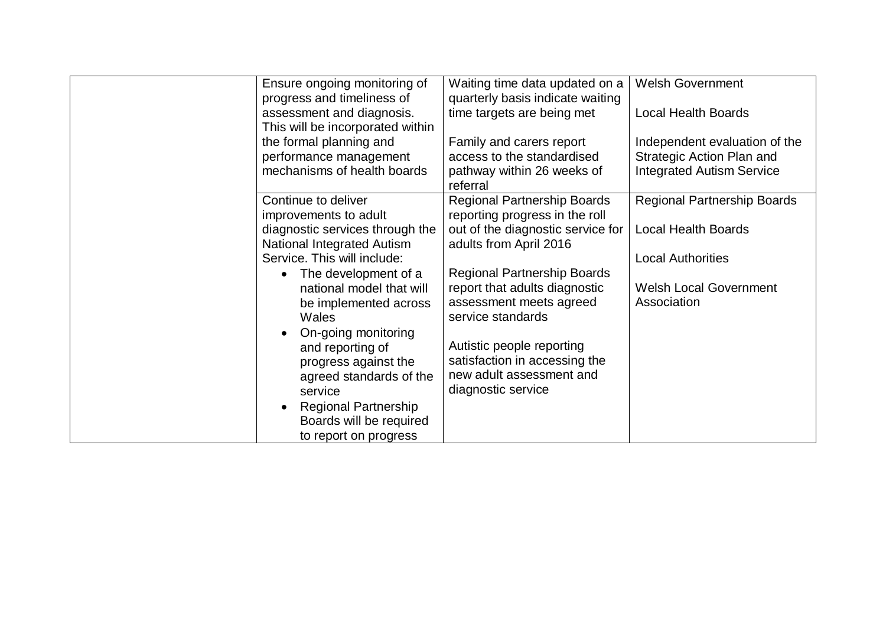| <b>Welsh Government</b><br>Ensure ongoing monitoring of<br>Waiting time data updated on a<br>quarterly basis indicate waiting<br>progress and timeliness of<br>assessment and diagnosis.<br>time targets are being met<br><b>Local Health Boards</b><br>This will be incorporated within<br>the formal planning and<br>Family and carers report<br>Independent evaluation of the<br>performance management<br>access to the standardised<br>Strategic Action Plan and<br>mechanisms of health boards<br><b>Integrated Autism Service</b><br>pathway within 26 weeks of<br>referral |
|------------------------------------------------------------------------------------------------------------------------------------------------------------------------------------------------------------------------------------------------------------------------------------------------------------------------------------------------------------------------------------------------------------------------------------------------------------------------------------------------------------------------------------------------------------------------------------|
|                                                                                                                                                                                                                                                                                                                                                                                                                                                                                                                                                                                    |
|                                                                                                                                                                                                                                                                                                                                                                                                                                                                                                                                                                                    |
|                                                                                                                                                                                                                                                                                                                                                                                                                                                                                                                                                                                    |
|                                                                                                                                                                                                                                                                                                                                                                                                                                                                                                                                                                                    |
|                                                                                                                                                                                                                                                                                                                                                                                                                                                                                                                                                                                    |
|                                                                                                                                                                                                                                                                                                                                                                                                                                                                                                                                                                                    |
|                                                                                                                                                                                                                                                                                                                                                                                                                                                                                                                                                                                    |
|                                                                                                                                                                                                                                                                                                                                                                                                                                                                                                                                                                                    |
| <b>Regional Partnership Boards</b><br>Continue to deliver<br><b>Regional Partnership Boards</b>                                                                                                                                                                                                                                                                                                                                                                                                                                                                                    |
| reporting progress in the roll<br>improvements to adult                                                                                                                                                                                                                                                                                                                                                                                                                                                                                                                            |
| diagnostic services through the<br>out of the diagnostic service for<br><b>Local Health Boards</b>                                                                                                                                                                                                                                                                                                                                                                                                                                                                                 |
| National Integrated Autism<br>adults from April 2016                                                                                                                                                                                                                                                                                                                                                                                                                                                                                                                               |
| Service. This will include:<br><b>Local Authorities</b>                                                                                                                                                                                                                                                                                                                                                                                                                                                                                                                            |
| <b>Regional Partnership Boards</b><br>The development of a                                                                                                                                                                                                                                                                                                                                                                                                                                                                                                                         |
| <b>Welsh Local Government</b><br>report that adults diagnostic<br>national model that will                                                                                                                                                                                                                                                                                                                                                                                                                                                                                         |
| assessment meets agreed<br>Association<br>be implemented across                                                                                                                                                                                                                                                                                                                                                                                                                                                                                                                    |
| service standards<br>Wales                                                                                                                                                                                                                                                                                                                                                                                                                                                                                                                                                         |
| On-going monitoring                                                                                                                                                                                                                                                                                                                                                                                                                                                                                                                                                                |
| Autistic people reporting<br>and reporting of                                                                                                                                                                                                                                                                                                                                                                                                                                                                                                                                      |
| satisfaction in accessing the<br>progress against the                                                                                                                                                                                                                                                                                                                                                                                                                                                                                                                              |
| new adult assessment and<br>agreed standards of the                                                                                                                                                                                                                                                                                                                                                                                                                                                                                                                                |
| diagnostic service<br>service                                                                                                                                                                                                                                                                                                                                                                                                                                                                                                                                                      |
| <b>Regional Partnership</b>                                                                                                                                                                                                                                                                                                                                                                                                                                                                                                                                                        |
| Boards will be required                                                                                                                                                                                                                                                                                                                                                                                                                                                                                                                                                            |
| to report on progress                                                                                                                                                                                                                                                                                                                                                                                                                                                                                                                                                              |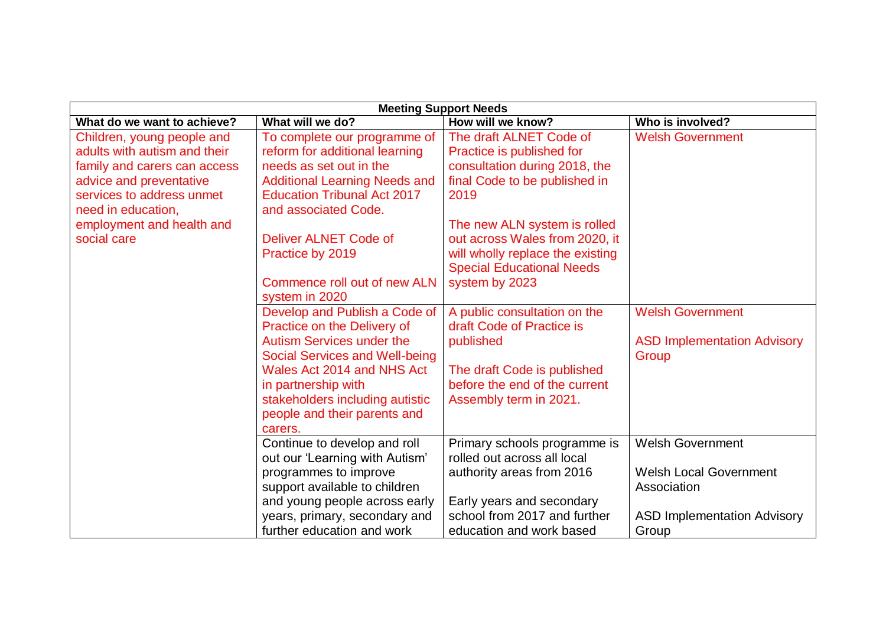| <b>Meeting Support Needs</b>                                                                                                                                             |                                                                                                                                                                                                                                                                                                |                                                                                                                                                                                   |                                                                                                                        |  |
|--------------------------------------------------------------------------------------------------------------------------------------------------------------------------|------------------------------------------------------------------------------------------------------------------------------------------------------------------------------------------------------------------------------------------------------------------------------------------------|-----------------------------------------------------------------------------------------------------------------------------------------------------------------------------------|------------------------------------------------------------------------------------------------------------------------|--|
| What do we want to achieve?                                                                                                                                              | What will we do?                                                                                                                                                                                                                                                                               | How will we know?                                                                                                                                                                 | Who is involved?                                                                                                       |  |
| Children, young people and<br>adults with autism and their<br>family and carers can access<br>advice and preventative<br>services to address unmet<br>need in education, | To complete our programme of<br>reform for additional learning<br>needs as set out in the<br><b>Additional Learning Needs and</b><br><b>Education Tribunal Act 2017</b><br>and associated Code.                                                                                                | The draft ALNET Code of<br>Practice is published for<br>consultation during 2018, the<br>final Code to be published in<br>2019                                                    | <b>Welsh Government</b>                                                                                                |  |
| employment and health and<br>social care                                                                                                                                 | Deliver ALNET Code of<br>Practice by 2019<br>Commence roll out of new ALN                                                                                                                                                                                                                      | The new ALN system is rolled<br>out across Wales from 2020, it<br>will wholly replace the existing<br><b>Special Educational Needs</b><br>system by 2023                          |                                                                                                                        |  |
|                                                                                                                                                                          | system in 2020<br>Develop and Publish a Code of<br>Practice on the Delivery of<br><b>Autism Services under the</b><br><b>Social Services and Well-being</b><br>Wales Act 2014 and NHS Act<br>in partnership with<br>stakeholders including autistic<br>people and their parents and<br>carers. | A public consultation on the<br>draft Code of Practice is<br>published<br>The draft Code is published<br>before the end of the current<br>Assembly term in 2021.                  | <b>Welsh Government</b><br><b>ASD Implementation Advisory</b><br>Group                                                 |  |
|                                                                                                                                                                          | Continue to develop and roll<br>out our 'Learning with Autism'<br>programmes to improve<br>support available to children<br>and young people across early<br>years, primary, secondary and<br>further education and work                                                                       | Primary schools programme is<br>rolled out across all local<br>authority areas from 2016<br>Early years and secondary<br>school from 2017 and further<br>education and work based | <b>Welsh Government</b><br><b>Welsh Local Government</b><br>Association<br><b>ASD Implementation Advisory</b><br>Group |  |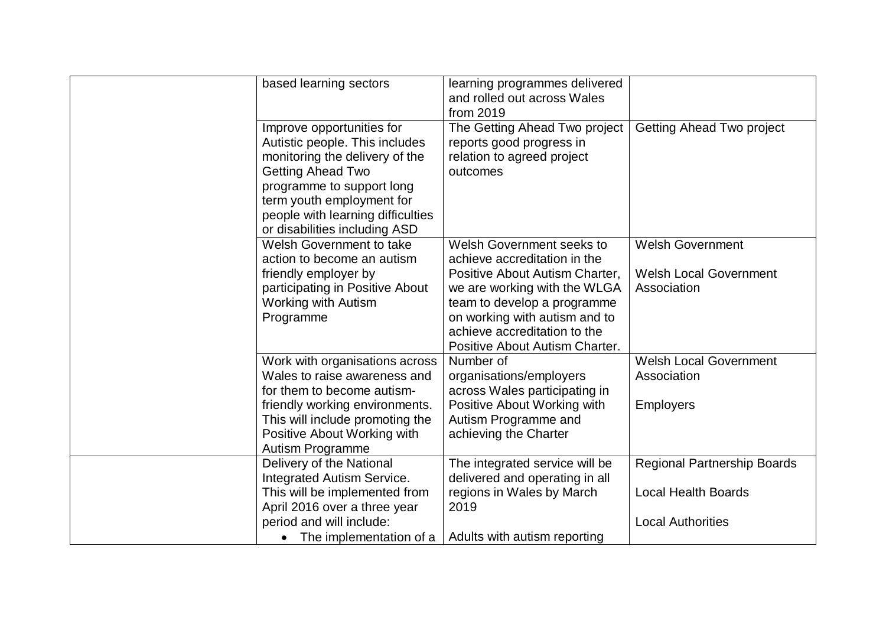| based learning sectors                                                                                                                                                                                                                                    | learning programmes delivered<br>and rolled out across Wales<br>from 2019                                                                                                                                                                                            |                                                                                              |
|-----------------------------------------------------------------------------------------------------------------------------------------------------------------------------------------------------------------------------------------------------------|----------------------------------------------------------------------------------------------------------------------------------------------------------------------------------------------------------------------------------------------------------------------|----------------------------------------------------------------------------------------------|
| Improve opportunities for<br>Autistic people. This includes<br>monitoring the delivery of the<br><b>Getting Ahead Two</b><br>programme to support long<br>term youth employment for<br>people with learning difficulties<br>or disabilities including ASD | The Getting Ahead Two project<br>reports good progress in<br>relation to agreed project<br>outcomes                                                                                                                                                                  | <b>Getting Ahead Two project</b>                                                             |
| Welsh Government to take<br>action to become an autism<br>friendly employer by<br>participating in Positive About<br><b>Working with Autism</b><br>Programme                                                                                              | <b>Welsh Government seeks to</b><br>achieve accreditation in the<br>Positive About Autism Charter,<br>we are working with the WLGA<br>team to develop a programme<br>on working with autism and to<br>achieve accreditation to the<br>Positive About Autism Charter. | <b>Welsh Government</b><br><b>Welsh Local Government</b><br>Association                      |
| Work with organisations across<br>Wales to raise awareness and<br>for them to become autism-<br>friendly working environments.<br>This will include promoting the<br>Positive About Working with<br>Autism Programme                                      | Number of<br>organisations/employers<br>across Wales participating in<br>Positive About Working with<br>Autism Programme and<br>achieving the Charter                                                                                                                | <b>Welsh Local Government</b><br>Association<br><b>Employers</b>                             |
| Delivery of the National<br>Integrated Autism Service.<br>This will be implemented from<br>April 2016 over a three year<br>period and will include:<br>• The implementation of a                                                                          | The integrated service will be<br>delivered and operating in all<br>regions in Wales by March<br>2019<br>Adults with autism reporting                                                                                                                                | <b>Regional Partnership Boards</b><br><b>Local Health Boards</b><br><b>Local Authorities</b> |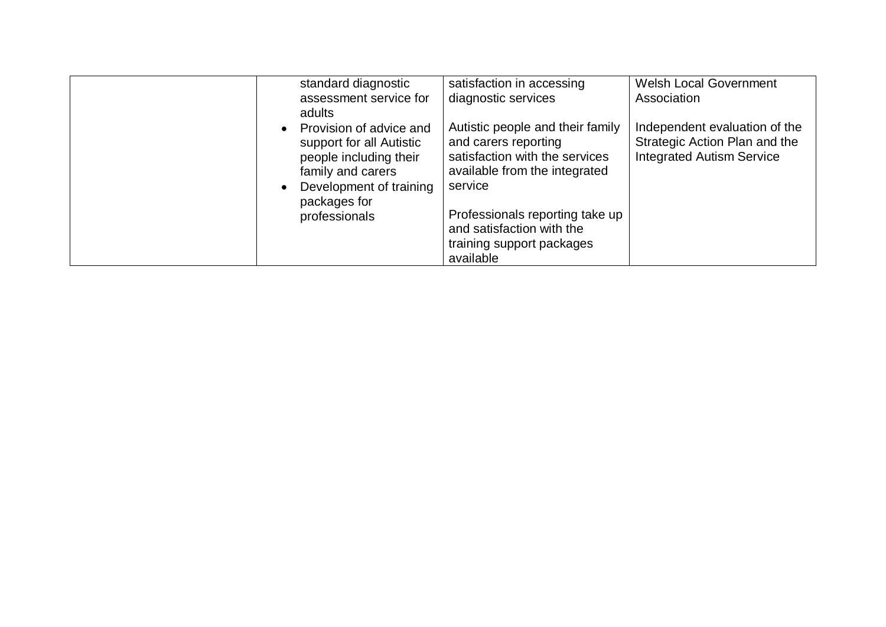|                        | standard diagnostic<br>assessment service for<br>adults                                                                                                        | satisfaction in accessing<br>diagnostic services                                                                                                                                                                                                 | <b>Welsh Local Government</b><br>Association                                                       |
|------------------------|----------------------------------------------------------------------------------------------------------------------------------------------------------------|--------------------------------------------------------------------------------------------------------------------------------------------------------------------------------------------------------------------------------------------------|----------------------------------------------------------------------------------------------------|
| $\bullet$<br>$\bullet$ | Provision of advice and<br>support for all Autistic<br>people including their<br>family and carers<br>Development of training<br>packages for<br>professionals | Autistic people and their family<br>and carers reporting<br>satisfaction with the services<br>available from the integrated<br>service<br>Professionals reporting take up<br>and satisfaction with the<br>training support packages<br>available | Independent evaluation of the<br>Strategic Action Plan and the<br><b>Integrated Autism Service</b> |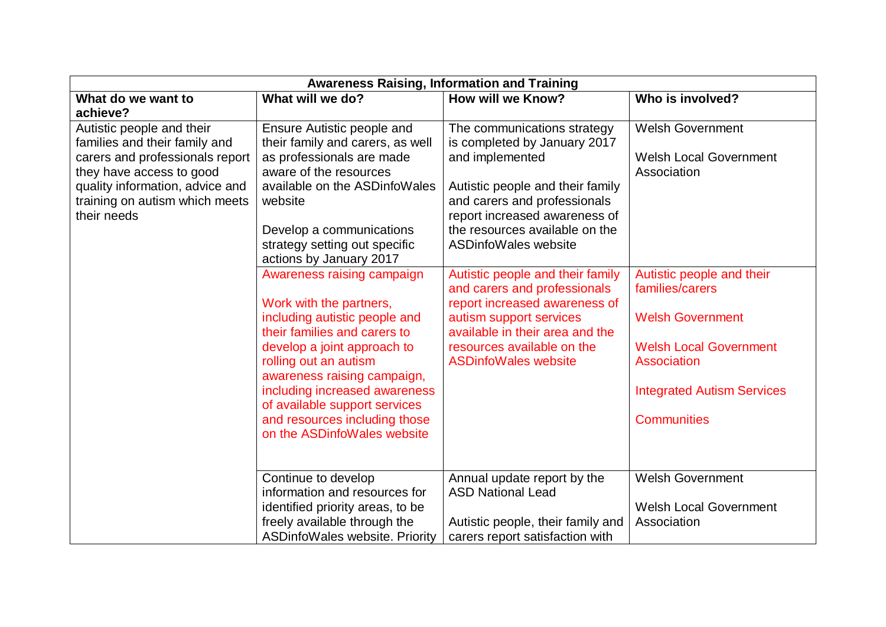| <b>Awareness Raising, Information and Training</b> |                                       |                                   |                                   |  |
|----------------------------------------------------|---------------------------------------|-----------------------------------|-----------------------------------|--|
| What do we want to                                 | What will we do?                      | <b>How will we Know?</b>          | Who is involved?                  |  |
| achieve?                                           |                                       |                                   |                                   |  |
| Autistic people and their                          | Ensure Autistic people and            | The communications strategy       | <b>Welsh Government</b>           |  |
| families and their family and                      | their family and carers, as well      | is completed by January 2017      |                                   |  |
| carers and professionals report                    | as professionals are made             | and implemented                   | <b>Welsh Local Government</b>     |  |
| they have access to good                           | aware of the resources                |                                   | Association                       |  |
| quality information, advice and                    | available on the ASDinfoWales         | Autistic people and their family  |                                   |  |
| training on autism which meets                     | website                               | and carers and professionals      |                                   |  |
| their needs                                        |                                       | report increased awareness of     |                                   |  |
|                                                    | Develop a communications              | the resources available on the    |                                   |  |
|                                                    | strategy setting out specific         | <b>ASDinfoWales website</b>       |                                   |  |
|                                                    | actions by January 2017               |                                   |                                   |  |
|                                                    | Awareness raising campaign            | Autistic people and their family  | Autistic people and their         |  |
|                                                    |                                       | and carers and professionals      | families/carers                   |  |
|                                                    | Work with the partners,               | report increased awareness of     |                                   |  |
|                                                    | including autistic people and         | autism support services           | <b>Welsh Government</b>           |  |
|                                                    | their families and carers to          | available in their area and the   |                                   |  |
|                                                    | develop a joint approach to           | resources available on the        | <b>Welsh Local Government</b>     |  |
|                                                    | rolling out an autism                 | <b>ASDinfoWales website</b>       | Association                       |  |
|                                                    | awareness raising campaign,           |                                   |                                   |  |
|                                                    | including increased awareness         |                                   | <b>Integrated Autism Services</b> |  |
|                                                    | of available support services         |                                   |                                   |  |
|                                                    | and resources including those         |                                   | <b>Communities</b>                |  |
|                                                    | on the ASDinfoWales website           |                                   |                                   |  |
|                                                    |                                       |                                   |                                   |  |
|                                                    |                                       |                                   |                                   |  |
|                                                    | Continue to develop                   | Annual update report by the       | <b>Welsh Government</b>           |  |
|                                                    | information and resources for         | <b>ASD National Lead</b>          |                                   |  |
|                                                    | identified priority areas, to be      |                                   | <b>Welsh Local Government</b>     |  |
|                                                    | freely available through the          | Autistic people, their family and | Association                       |  |
|                                                    | <b>ASDinfoWales website. Priority</b> | carers report satisfaction with   |                                   |  |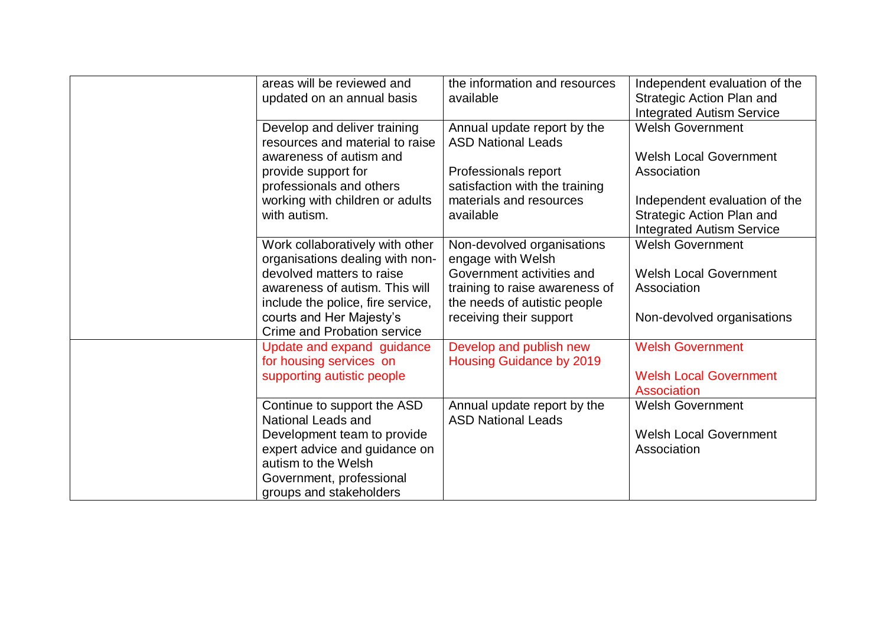| areas will be reviewed and<br>updated on an annual basis            | the information and resources<br>available                     | Independent evaluation of the<br>Strategic Action Plan and<br><b>Integrated Autism Service</b> |
|---------------------------------------------------------------------|----------------------------------------------------------------|------------------------------------------------------------------------------------------------|
| Develop and deliver training<br>resources and material to raise     | Annual update report by the<br><b>ASD National Leads</b>       | <b>Welsh Government</b>                                                                        |
| awareness of autism and                                             |                                                                | <b>Welsh Local Government</b>                                                                  |
| provide support for<br>professionals and others                     | Professionals report<br>satisfaction with the training         | Association                                                                                    |
| working with children or adults<br>with autism.                     | materials and resources<br>available                           | Independent evaluation of the<br>Strategic Action Plan and<br><b>Integrated Autism Service</b> |
| Work collaboratively with other<br>organisations dealing with non-  | Non-devolved organisations<br>engage with Welsh                | <b>Welsh Government</b>                                                                        |
| devolved matters to raise                                           | Government activities and                                      | <b>Welsh Local Government</b>                                                                  |
| awareness of autism. This will<br>include the police, fire service, | training to raise awareness of<br>the needs of autistic people | Association                                                                                    |
| courts and Her Majesty's<br><b>Crime and Probation service</b>      | receiving their support                                        | Non-devolved organisations                                                                     |
| Update and expand guidance<br>for housing services on               | Develop and publish new<br><b>Housing Guidance by 2019</b>     | <b>Welsh Government</b>                                                                        |
| supporting autistic people                                          |                                                                | <b>Welsh Local Government</b><br><b>Association</b>                                            |
| Continue to support the ASD<br>National Leads and                   | Annual update report by the<br><b>ASD National Leads</b>       | <b>Welsh Government</b>                                                                        |
| Development team to provide                                         |                                                                | <b>Welsh Local Government</b>                                                                  |
| expert advice and guidance on<br>autism to the Welsh                |                                                                | Association                                                                                    |
| Government, professional<br>groups and stakeholders                 |                                                                |                                                                                                |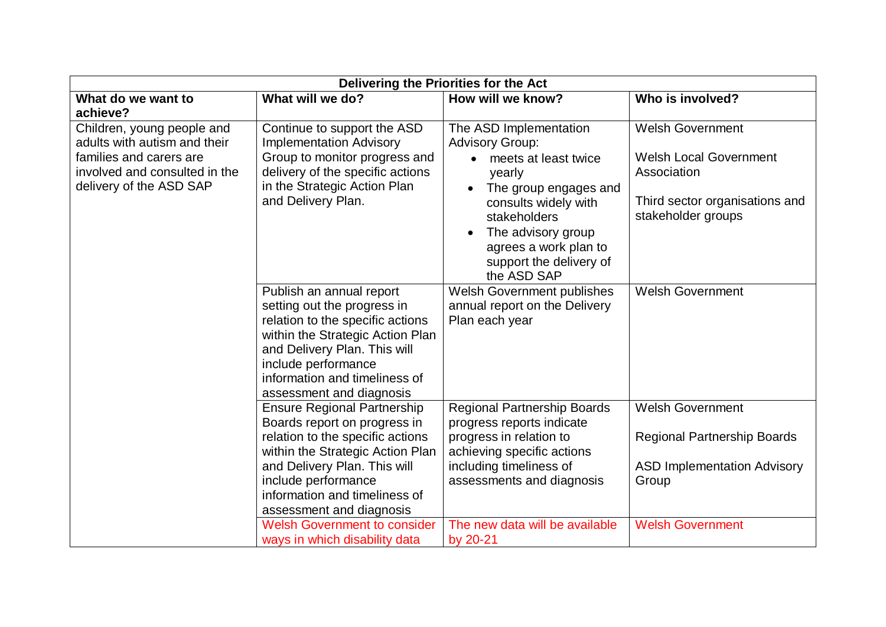| Delivering the Priorities for the Act                                                 |                                                                                                |                                                                            |                                                          |  |
|---------------------------------------------------------------------------------------|------------------------------------------------------------------------------------------------|----------------------------------------------------------------------------|----------------------------------------------------------|--|
| What do we want to<br>achieve?                                                        | What will we do?                                                                               | How will we know?                                                          | Who is involved?                                         |  |
| Children, young people and<br>adults with autism and their<br>families and carers are | Continue to support the ASD<br><b>Implementation Advisory</b><br>Group to monitor progress and | The ASD Implementation<br><b>Advisory Group:</b><br>• meets at least twice | <b>Welsh Government</b><br><b>Welsh Local Government</b> |  |
| involved and consulted in the<br>delivery of the ASD SAP                              | delivery of the specific actions<br>in the Strategic Action Plan                               | yearly<br>The group engages and                                            | Association                                              |  |
|                                                                                       | and Delivery Plan.                                                                             | consults widely with<br>stakeholders<br>The advisory group                 | Third sector organisations and<br>stakeholder groups     |  |
|                                                                                       |                                                                                                | agrees a work plan to<br>support the delivery of<br>the ASD SAP            |                                                          |  |
|                                                                                       | Publish an annual report                                                                       | Welsh Government publishes                                                 | <b>Welsh Government</b>                                  |  |
|                                                                                       | setting out the progress in                                                                    | annual report on the Delivery                                              |                                                          |  |
|                                                                                       | relation to the specific actions                                                               | Plan each year                                                             |                                                          |  |
|                                                                                       | within the Strategic Action Plan                                                               |                                                                            |                                                          |  |
|                                                                                       | and Delivery Plan. This will<br>include performance                                            |                                                                            |                                                          |  |
|                                                                                       | information and timeliness of                                                                  |                                                                            |                                                          |  |
|                                                                                       | assessment and diagnosis                                                                       |                                                                            |                                                          |  |
|                                                                                       | <b>Ensure Regional Partnership</b>                                                             | <b>Regional Partnership Boards</b>                                         | <b>Welsh Government</b>                                  |  |
|                                                                                       | Boards report on progress in                                                                   | progress reports indicate                                                  |                                                          |  |
|                                                                                       | relation to the specific actions                                                               | progress in relation to                                                    | <b>Regional Partnership Boards</b>                       |  |
|                                                                                       | within the Strategic Action Plan                                                               | achieving specific actions                                                 |                                                          |  |
|                                                                                       | and Delivery Plan. This will                                                                   | including timeliness of                                                    | <b>ASD Implementation Advisory</b>                       |  |
|                                                                                       | include performance<br>information and timeliness of                                           | assessments and diagnosis                                                  | Group                                                    |  |
|                                                                                       | assessment and diagnosis                                                                       |                                                                            |                                                          |  |
|                                                                                       | <b>Welsh Government to consider</b>                                                            | The new data will be available                                             | <b>Welsh Government</b>                                  |  |
|                                                                                       | ways in which disability data                                                                  | by 20-21                                                                   |                                                          |  |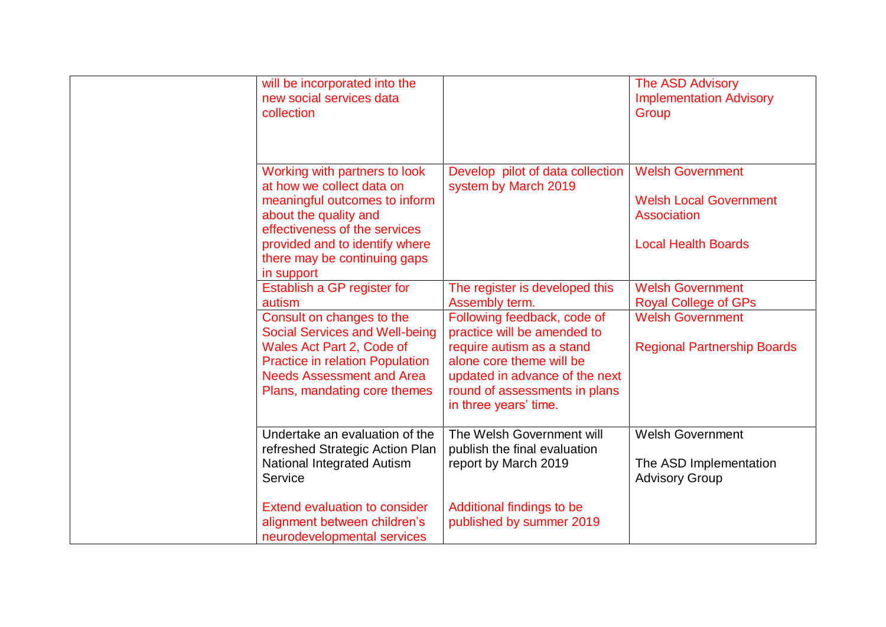| will be incorporated into the<br>new social services data<br>collection                                                                                                                                                               |                                                                                                                                                                                                                                   | <b>The ASD Advisory</b><br><b>Implementation Advisory</b><br>Group                                    |
|---------------------------------------------------------------------------------------------------------------------------------------------------------------------------------------------------------------------------------------|-----------------------------------------------------------------------------------------------------------------------------------------------------------------------------------------------------------------------------------|-------------------------------------------------------------------------------------------------------|
| Working with partners to look<br>at how we collect data on<br>meaningful outcomes to inform<br>about the quality and<br>effectiveness of the services<br>provided and to identify where<br>there may be continuing gaps<br>in support | Develop pilot of data collection<br>system by March 2019                                                                                                                                                                          | <b>Welsh Government</b><br><b>Welsh Local Government</b><br>Association<br><b>Local Health Boards</b> |
| Establish a GP register for                                                                                                                                                                                                           | The register is developed this                                                                                                                                                                                                    | <b>Welsh Government</b>                                                                               |
| autism<br>Consult on changes to the<br><b>Social Services and Well-being</b><br>Wales Act Part 2, Code of<br><b>Practice in relation Population</b><br><b>Needs Assessment and Area</b><br>Plans, mandating core themes               | Assembly term.<br>Following feedback, code of<br>practice will be amended to<br>require autism as a stand<br>alone core theme will be<br>updated in advance of the next<br>round of assessments in plans<br>in three years' time. | <b>Royal College of GPs</b><br><b>Welsh Government</b><br><b>Regional Partnership Boards</b>          |
| Undertake an evaluation of the<br>refreshed Strategic Action Plan<br><b>National Integrated Autism</b><br>Service                                                                                                                     | The Welsh Government will<br>publish the final evaluation<br>report by March 2019                                                                                                                                                 | <b>Welsh Government</b><br>The ASD Implementation<br><b>Advisory Group</b>                            |
| <b>Extend evaluation to consider</b><br>alignment between children's<br>neurodevelopmental services                                                                                                                                   | Additional findings to be<br>published by summer 2019                                                                                                                                                                             |                                                                                                       |